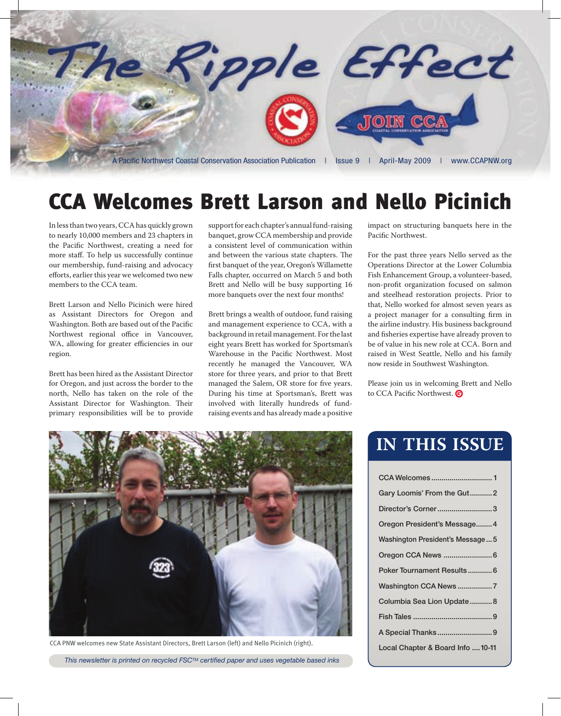

## CCA Welcomes Brett Larson and Nello Picinich

In less than two years, CCA has quickly grown to nearly 10,000 members and 23 chapters in the Pacific Northwest, creating a need for more staff. To help us successfully continue our membership, fund-raising and advocacy efforts, earlier this year we welcomed two new members to the CCA team.

Brett Larson and Nello Picinich were hired as Assistant Directors for Oregon and Washington. Both are based out of the Pacific Northwest regional office in Vancouver, WA, allowing for greater efficiencies in our region.

Brett has been hired as the Assistant Director for Oregon, and just across the border to the north, Nello has taken on the role of the Assistant Director for Washington. Their primary responsibilities will be to provide

support for each chapter's annual fund-raising banquet, grow CCA membership and provide a consistent level of communication within and between the various state chapters. The first banquet of the year, Oregon's Willamette Falls chapter, occurred on March 5 and both Brett and Nello will be busy supporting 16 more banquets over the next four months!

Brett brings a wealth of outdoor, fund raising and management experience to CCA, with a background in retail management. For the last eight years Brett has worked for Sportsman's Warehouse in the Pacific Northwest. Most recently he managed the Vancouver, WA store for three years, and prior to that Brett managed the Salem, OR store for five years. During his time at Sportsman's, Brett was involved with literally hundreds of fundraising events and has already made a positive

impact on structuring banquets here in the Pacific Northwest.

For the past three years Nello served as the Operations Director at the Lower Columbia Fish Enhancement Group, a volunteer-based, non-profit organization focused on salmon and steelhead restoration projects. Prior to that, Nello worked for almost seven years as a project manager for a consulting firm in the airline industry. His business background and fisheries expertise have already proven to be of value in his new role at CCA. Born and raised in West Seattle, Nello and his family now reside in Southwest Washington.

Please join us in welcoming Brett and Nello to CCA Pacific Northwest.



CCA PNW welcomes new State Assistant Directors, Brett Larson (left) and Nello Picinich (right).

*This newsletter is printed on recycled FSCTM certified paper and uses vegetable based inks*

## **IN THIS ISSUE**

| Gary Loomis' From the Gut2        |
|-----------------------------------|
| Director's Corner3                |
| Oregon President's Message4       |
| Washington President's Message5   |
|                                   |
| Poker Tournament Results6         |
| Washington CCA News7              |
| Columbia Sea Lion Update8         |
|                                   |
|                                   |
| Local Chapter & Board Info  10-11 |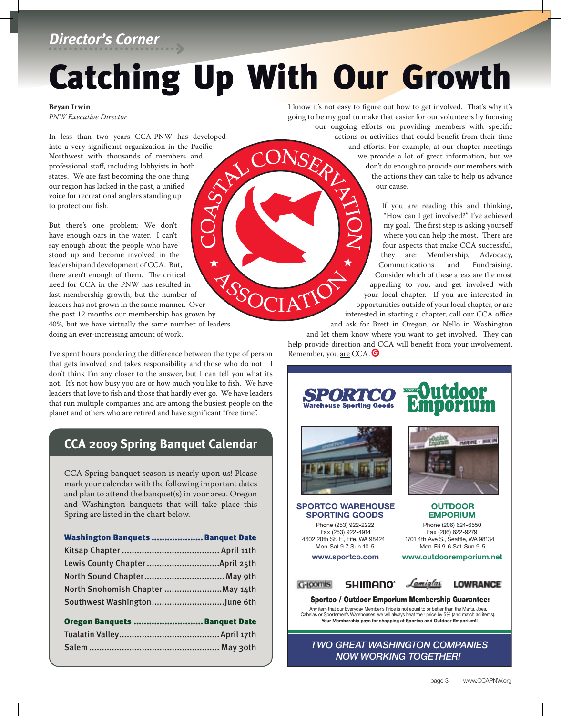## *Director's Corner*

# Catching Up With Our Growth

**Bryan Irwin** *PNW Executive Director*

In less than two years CCA-PNW has developed into a very significant organization in the Pacific<br>Northwest with thousands of members and<br>professional staff, including lobbyists in both<br>states. We are fast becoming the one thing<br>our region has lacked in the<br>voice for Northwest with thousands of members and professional staff, including lobbyists in both states. We are fast becoming the one thing our region has lacked in the past, a unified voice for recreational anglers standing up to protect our fish.

But there's one problem: We don't have enough oars in the water. I can't say enough about the people who have stood up and become involved in the leadership and development of CCA. But, there aren't enough of them. The critical need for CCA in the PNW has resulted in fast membership growth, but the number of leaders has not grown in the same manner. Over there aren't enough of them. The Chucan<br>need for CCA in the PNW has resulted in<br>fast membership growth, but the number of<br>leaders has not grown in the same manner. Over<br>the past 12 months our membership has grown by 40%, but we have virtually the same number of leaders doing an ever-increasing amount of work.

I've spent hours pondering the difference between the type of person that gets involved and takes responsibility and those who do not I don't think I'm any closer to the answer, but I can tell you what its not. It's not how busy you are or how much you like to fish. We have leaders that love to fish and those that hardly ever go. We have leaders that run multiple companies and are among the busiest people on the planet and others who are retired and have significant "free time".

### **CCA 2009 Spring Banquet Calendar**

CCA Spring banquet season is nearly upon us! Please mark your calendar with the following important dates and plan to attend the banquet(s) in your area. Oregon and Washington banquets that will take place this Spring are listed in the chart below.

| Washington Banquets  Banquet Date |  |
|-----------------------------------|--|
|                                   |  |
|                                   |  |
| North Sound Chapter May 9th       |  |
| North Snohomish Chapter  May 14th |  |
|                                   |  |

| Oregon Banquets  Banquet Date |  |
|-------------------------------|--|
|                               |  |
|                               |  |

I know it's not easy to figure out how to get involved. That's why it's going to be my goal to make that easier for our volunteers by focusing our ongoing efforts on providing members with specific

actions or activities that could benefit from their time<br>and efforts. For example, at our chapter meetings<br>we provide a lot of great information, but we<br>don't do enough to provide our members with<br>the actions they can take and efforts. For example, at our chapter meetings we provide a lot of great information, but we don't do enough to provide our members with the actions they can take to help us advance our cause.

> If you are reading this and thinking, "How can I get involved?" I've achieved my goal. The first step is asking yourself where you can help the most. There are four aspects that make CCA successful, they are: Membership, Advocacy, Communications and Fundraising. Consider which of these areas are the most appealing to you, and get involved with your local chapter. If you are interested in opportunities outside of your local chapter, or are interested in starting a chapter, call our CCA office

and ask for Brett in Oregon, or Nello in Washington and let them know where you want to get involved. They can help provide direction and CCA will benefit from your involvement. Remember, you <u>are</u> CCA.

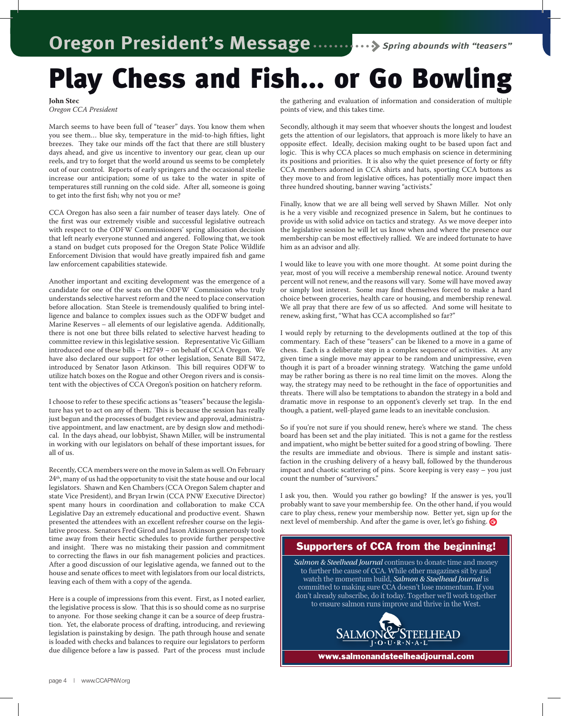## Play Chess and Fish... or Go Bowling

**John Stec** *Oregon CCA President*

March seems to have been full of "teaser" days. You know them when you see them… blue sky, temperature in the mid-to-high fifties, light breezes. They take our minds off the fact that there are still blustery days ahead, and give us incentive to inventory our gear, clean up our reels, and try to forget that the world around us seems to be completely out of our control. Reports of early springers and the occasional steelie increase our anticipation; some of us take to the water in spite of temperatures still running on the cold side. After all, someone is going to get into the first fish; why not you or me?

CCA Oregon has also seen a fair number of teaser days lately. One of the first was our extremely visible and successful legislative outreach with respect to the ODFW Commissioners' spring allocation decision that left nearly everyone stunned and angered. Following that, we took a stand on budget cuts proposed for the Oregon State Police Wildlife Enforcement Division that would have greatly impaired fish and game law enforcement capabilities statewide.

Another important and exciting development was the emergence of a candidate for one of the seats on the ODFW Commission who truly understands selective harvest reform and the need to place conservation before allocation. Stan Steele is tremendously qualified to bring intelligence and balance to complex issues such as the ODFW budget and Marine Reserves – all elements of our legislative agenda. Additionally, there is not one but three bills related to selective harvest heading to committee review in this legislative session. Representative Vic Gilliam introduced one of these bills – H2749 – on behalf of CCA Oregon. We have also declared our support for other legislation, Senate Bill S472, introduced by Senator Jason Atkinson. This bill requires ODFW to utilize hatch boxes on the Rogue and other Oregon rivers and is consistent with the objectives of CCA Oregon's position on hatchery reform.

I choose to refer to these specific actions as "teasers" because the legislature has yet to act on any of them. This is because the session has really just begun and the processes of budget review and approval, administrative appointment, and law enactment, are by design slow and methodical. In the days ahead, our lobbyist, Shawn Miller, will be instrumental in working with our legislators on behalf of these important issues, for all of us.

Recently, CCA members were on the move in Salem as well. On February 24<sup>th</sup>, many of us had the opportunity to visit the state house and our local legislators. Shawn and Ken Chambers (CCA Oregon Salem chapter and state Vice President), and Bryan Irwin (CCA PNW Executive Director) spent many hours in coordination and collaboration to make CCA Legislative Day an extremely educational and productive event. Shawn presented the attendees with an excellent refresher course on the legislative process. Senators Fred Girod and Jason Atkinson generously took time away from their hectic schedules to provide further perspective and insight. There was no mistaking their passion and commitment to correcting the flaws in our fish management policies and practices. After a good discussion of our legislative agenda, we fanned out to the house and senate offices to meet with legislators from our local districts, leaving each of them with a copy of the agenda.

Here is a couple of impressions from this event. First, as I noted earlier, the legislative process is slow. That this is so should come as no surprise to anyone. For those seeking change it can be a source of deep frustration. Yet, the elaborate process of drafting, introducing, and reviewing legislation is painstaking by design. The path through house and senate is loaded with checks and balances to require our legislators to perform due diligence before a law is passed. Part of the process must include

the gathering and evaluation of information and consideration of multiple points of view, and this takes time.

Secondly, although it may seem that whoever shouts the longest and loudest gets the attention of our legislators, that approach is more likely to have an opposite effect. Ideally, decision making ought to be based upon fact and logic. This is why CCA places so much emphasis on science in determining its positions and priorities. It is also why the quiet presence of forty or fifty CCA members adorned in CCA shirts and hats, sporting CCA buttons as they move to and from legislative offices, has potentially more impact then three hundred shouting, banner waving "activists."

Finally, know that we are all being well served by Shawn Miller. Not only is he a very visible and recognized presence in Salem, but he continues to provide us with solid advice on tactics and strategy. As we move deeper into the legislative session he will let us know when and where the presence our membership can be most effectively rallied. We are indeed fortunate to have him as an advisor and ally.

I would like to leave you with one more thought. At some point during the year, most of you will receive a membership renewal notice. Around twenty percent will not renew, and the reasons will vary. Some will have moved away or simply lost interest. Some may find themselves forced to make a hard choice between groceries, health care or housing, and membership renewal. We all pray that there are few of us so affected. And some will hesitate to renew, asking first, "What has CCA accomplished so far?"

I would reply by returning to the developments outlined at the top of this commentary. Each of these "teasers" can be likened to a move in a game of chess. Each is a deliberate step in a complex sequence of activities. At any given time a single move may appear to be random and unimpressive, even though it is part of a broader winning strategy. Watching the game unfold may be rather boring as there is no real time limit on the moves. Along the way, the strategy may need to be rethought in the face of opportunities and threats. There will also be temptations to abandon the strategy in a bold and dramatic move in response to an opponent's cleverly set trap. In the end though, a patient, well-played game leads to an inevitable conclusion.

So if you're not sure if you should renew, here's where we stand. The chess board has been set and the play initiated. This is not a game for the restless and impatient, who might be better suited for a good string of bowling. There the results are immediate and obvious. There is simple and instant satisfaction in the crushing delivery of a heavy ball, followed by the thunderous impact and chaotic scattering of pins. Score keeping is very easy – you just count the number of "survivors."

I ask you, then. Would you rather go bowling? If the answer is yes, you'll probably want to save your membership fee. On the other hand, if you would care to play chess, renew your membership now. Better yet, sign up for the next level of membership. And after the game is over, let's go fishing.  $\bigcirc$ 

### Supporters of CCA from the beginning!

*Salmon & Steelhead Journal* continues to donate time and money to further the cause of CCA. While other magazines sit by and watch the momentum build, *Salmon & Steelhead Journal* is committed to making sure CCA doesn't lose momentum. If you don't already subscribe, do it today. Together we'll work together to ensure salmon runs improve and thrive in the West.



www.salmonandsteelheadjournal.com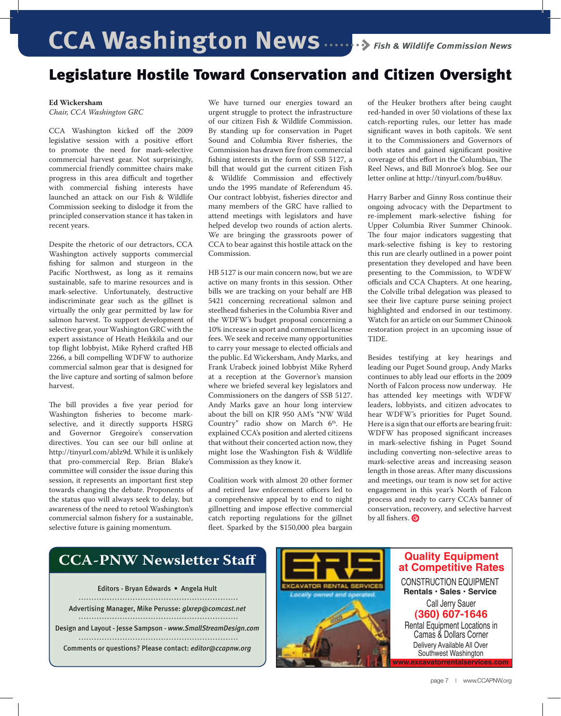## Legislature Hostile Toward Conservation and Citizen Oversight

#### **Ed Wickersham**

*Chair, CCA Washington GRC*

CCA Washington kicked off the 2009 legislative session with a positive effort to promote the need for mark-selective commercial harvest gear. Not surprisingly, commercial friendly committee chairs make progress in this area difficult and together with commercial fishing interests have launched an attack on our Fish & Wildlife Commission seeking to dislodge it from the principled conservation stance it has taken in recent years.

Despite the rhetoric of our detractors, CCA Washington actively supports commercial fishing for salmon and sturgeon in the Pacific Northwest, as long as it remains sustainable, safe to marine resources and is mark-selective. Unfortunately, destructive indiscriminate gear such as the gillnet is virtually the only gear permitted by law for salmon harvest. To support development of selective gear, your Washington GRC with the expert assistance of Heath Heikkila and our top flight lobbyist, Mike Ryherd crafted HB 2266, a bill compelling WDFW to authorize commercial salmon gear that is designed for the live capture and sorting of salmon before harvest.

The bill provides a five year period for Washington fisheries to become markselective, and it directly supports HSRG and Governor Gregoire's conservation directives. You can see our bill online at http://tinyurl.com/ablz9d. While it is unlikely that pro-commercial Rep. Brian Blake's committee will consider the issue during this session, it represents an important first step towards changing the debate. Proponents of the status quo will always seek to delay, but awareness of the need to retool Washington's commercial salmon fishery for a sustainable, selective future is gaining momentum.

We have turned our energies toward an urgent struggle to protect the infrastructure of our citizen Fish & Wildlife Commission. By standing up for conservation in Puget Sound and Columbia River fisheries, the Commission has drawn fire from commercial fishing interests in the form of SSB 5127, a bill that would gut the current citizen Fish & Wildlife Commission and effectively undo the 1995 mandate of Referendum 45. Our contract lobbyist, fisheries director and many members of the GRC have rallied to attend meetings with legislators and have helped develop two rounds of action alerts. We are bringing the grassroots power of CCA to bear against this hostile attack on the Commission.

HB 5127 is our main concern now, but we are active on many fronts in this session. Other bills we are tracking on your behalf are HB 5421 concerning recreational salmon and steelhead fisheries in the Columbia River and the WDFW's budget proposal concerning a 10% increase in sport and commercial license fees. We seek and receive many opportunities to carry your message to elected officials and the public. Ed Wickersham, Andy Marks, and Frank Urabeck joined lobbyist Mike Ryherd at a reception at the Governor's mansion where we briefed several key legislators and Commissioners on the dangers of SSB 5127. Andy Marks gave an hour long interview about the bill on KJR 950 AM's "NW Wild Country" radio show on March 6<sup>th</sup>. He explained CCA's position and alerted citizens that without their concerted action now, they might lose the Washington Fish & Wildlife Commission as they know it.

Coalition work with almost 20 other former and retired law enforcement officers led to a comprehensive appeal by to end to night gillnetting and impose effective commercial catch reporting regulations for the gillnet fleet. Sparked by the \$150,000 plea bargain

of the Heuker brothers after being caught red-handed in over 50 violations of these lax catch-reporting rules, our letter has made significant waves in both capitols. We sent it to the Commissioners and Governors of both states and gained significant positive coverage of this effort in the Columbian, The Reel News, and Bill Monroe's blog. See our letter online at http://tinyurl.com/bu48uv.

Harry Barber and Ginny Ross continue their ongoing advocacy with the Department to re-implement mark-selective fishing for Upper Columbia River Summer Chinook. The four major indicators suggesting that mark-selective fishing is key to restoring this run are clearly outlined in a power point presentation they developed and have been presenting to the Commission, to WDFW officials and CCA Chapters. At one hearing, the Colville tribal delegation was pleased to see their live capture purse seining project highlighted and endorsed in our testimony. Watch for an article on our Summer Chinook restoration project in an upcoming issue of TIDE.

Besides testifying at key hearings and leading our Puget Sound group, Andy Marks continues to ably lead our efforts in the 2009 North of Falcon process now underway. He has attended key meetings with WDFW leaders, lobbyists, and citizen advocates to hear WDFW's priorities for Puget Sound. Here is a sign that our efforts are bearing fruit: WDFW has proposed significant increases in mark-selective fishing in Puget Sound including converting non-selective areas to mark-selective areas and increasing season length in those areas. After many discussions and meetings, our team is now set for active engagement in this year's North of Falcon process and ready to carry CCA's banner of conservation, recovery, and selective harvest by all fishers.

## **CCA-PNW Newsletter Staff Quality Equipment**

Editors - Bryan Edwards • Angela Hult Advertising Manager, Mike Perusse: *glxrep@comcast.net* Design and Layout - Jesse Sampson - *www.SmallStreamDesign.com* Comments or questions? Please contact: *editor@ccapnw.org*



page 7 | www.CCAPNW.org 7 | www.CCAPNW.org 7 | www.cc

**www.orrentalservice**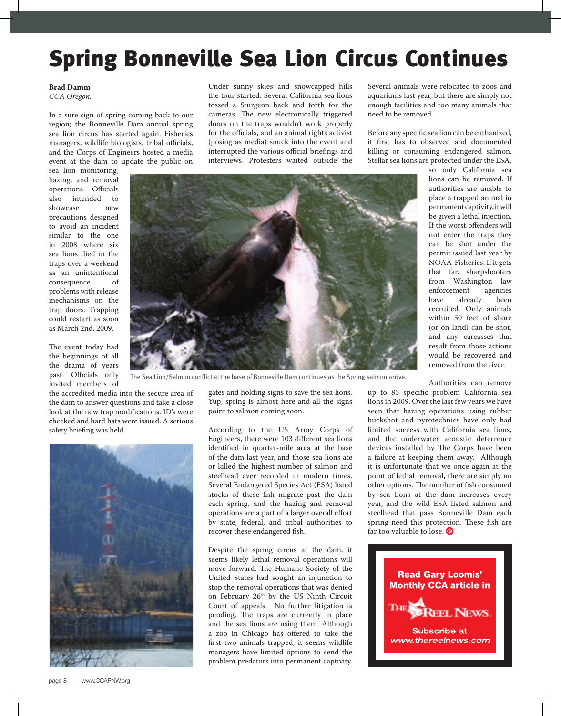## Spring Bonneville Sea Lion Circus Continues

#### **Brad Damm**

*CCA Oregon.* 

In a sure sign of spring coming back to our region; the Bonneville Dam annual spring sea lion circus has started again. Fisheries managers, wildlife biologists, tribal officials, and the Corps of Engineers hosted a media event at the dam to update the public on

sea lion monitoring, hazing, and removal operations. Officials<br>also intended to also intended to<br>showcase new showcase precautions designed to avoid an incident similar to the one in 2008 where six sea lions died in the traps over a weekend as an unintentional consequence problems with release mechanisms on the trap doors. Trapping could restart as soon as March 2nd, 2009.

The event today had the beginnings of all the drama of years past. Officials only invited members of

the accredited media into the secure area of the dam to answer questions and take a close look at the new trap modifications. ID's were checked and hard hats were issued. A serious safety briefing was held.



Under sunny skies and snowcapped hills the tour started. Several California sea lions tossed a Sturgeon back and forth for the cameras. The new electronically triggered doors on the traps wouldn't work properly for the officials, and an animal rights activist (posing as media) snuck into the event and interrupted the various official briefings and interviews. Protesters waited outside the

Several animals were relocated to zoos and aquariums last year, but there are simply not enough facilities and too many animals that need to be removed.

Before any specific sea lion can be euthanized, it first has to observed and documented killing or consuming endangered salmon. Stellar sea lions are protected under the ESA,



The Sea Lion/Salmon conflict at the base of Bonneville Dam continues as the Spring salmon arrive.

gates and holding signs to save the sea lions. Yup, spring is almost here and all the signs point to salmon coming soon.

According to the US Army Corps of Engineers, there were 103 different sea lions identified in quarter-mile area at the base of the dam last year, and those sea lions ate or killed the highest number of salmon and steelhead ever recorded in modern times. Several Endangered Species Act (ESA) listed stocks of these fish migrate past the dam each spring, and the hazing and removal operations are a part of a larger overall effort by state, federal, and tribal authorities to recover these endangered fish.

Despite the spring circus at the dam, it seems likely lethal removal operations will move forward. The Humane Society of the United States had sought an injunction to stop the removal operations that was denied on February 26<sup>th</sup> by the US Ninth Circuit Court of appeals. No further litigation is pending. The traps are currently in place and the sea lions are using them. Although a zoo in Chicago has offered to take the first two animals trapped, it seems wildlife managers have limited options to send the problem predators into permanent captivity.

permanent captivity, it will be given a lethal injection. If the worst offenders will not enter the traps they can be shot under the permit issued last year by NOAA-Fisheries. If it gets that far, sharpshooters from Washington law enforcement agencies<br>have already been already recruited. Only animals within 50 feet of shore (or on land) can be shot, and any carcasses that result from those actions would be recovered and removed from the river.

so only California sea lions can be removed. If authorities are unable to place a trapped animal in

Authorities can remove

up to 85 specific problem California sea lions in 2009. Over the last few years we have seen that hazing operations using rubber buckshot and pyrotechnics have only had limited success with California sea lions, and the underwater acoustic deterrence devices installed by The Corps have been a failure at keeping them away. Although it is unfortunate that we once again at the point of lethal removal, there are simply no other options. The number of fish consumed by sea lions at the dam increases every year, and the wild ESA listed salmon and steelhead that pass Bonneville Dam each spring need this protection. These fish are far too valuable to lose.  $\bullet$